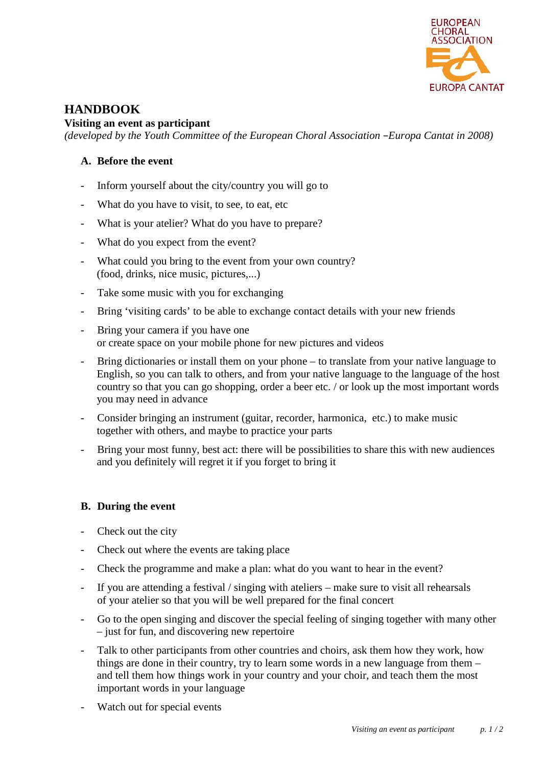

# **HANDBOOK**

### **Visiting an event as participant**

*(developed by the Youth Committee of the European Choral Association –Europa Cantat in 2008)*

## **A. Before the event**

- Inform yourself about the city/country you will go to
- What do you have to visit, to see, to eat, etc
- What is your atelier? What do you have to prepare?
- What do you expect from the event?
- What could you bring to the event from your own country? (food, drinks, nice music, pictures,...)
- Take some music with you for exchanging
- Bring 'visiting cards' to be able to exchange contact details with your new friends
- Bring your camera if you have one or create space on your mobile phone for new pictures and videos
- Bring dictionaries or install them on your phone to translate from your native language to English, so you can talk to others, and from your native language to the language of the host country so that you can go shopping, order a beer etc. / or look up the most important words you may need in advance
- Consider bringing an instrument (guitar, recorder, harmonica, etc.) to make music together with others, and maybe to practice your parts
- Bring your most funny, best act: there will be possibilities to share this with new audiences and you definitely will regret it if you forget to bring it

## **B. During the event**

- Check out the city
- Check out where the events are taking place
- Check the programme and make a plan: what do you want to hear in the event?
- If you are attending a festival / singing with ateliers make sure to visit all rehearsals of your atelier so that you will be well prepared for the final concert
- Go to the open singing and discover the special feeling of singing together with many other – just for fun, and discovering new repertoire
- Talk to other participants from other countries and choirs, ask them how they work, how things are done in their country, try to learn some words in a new language from them – and tell them how things work in your country and your choir, and teach them the most important words in your language
- Watch out for special events